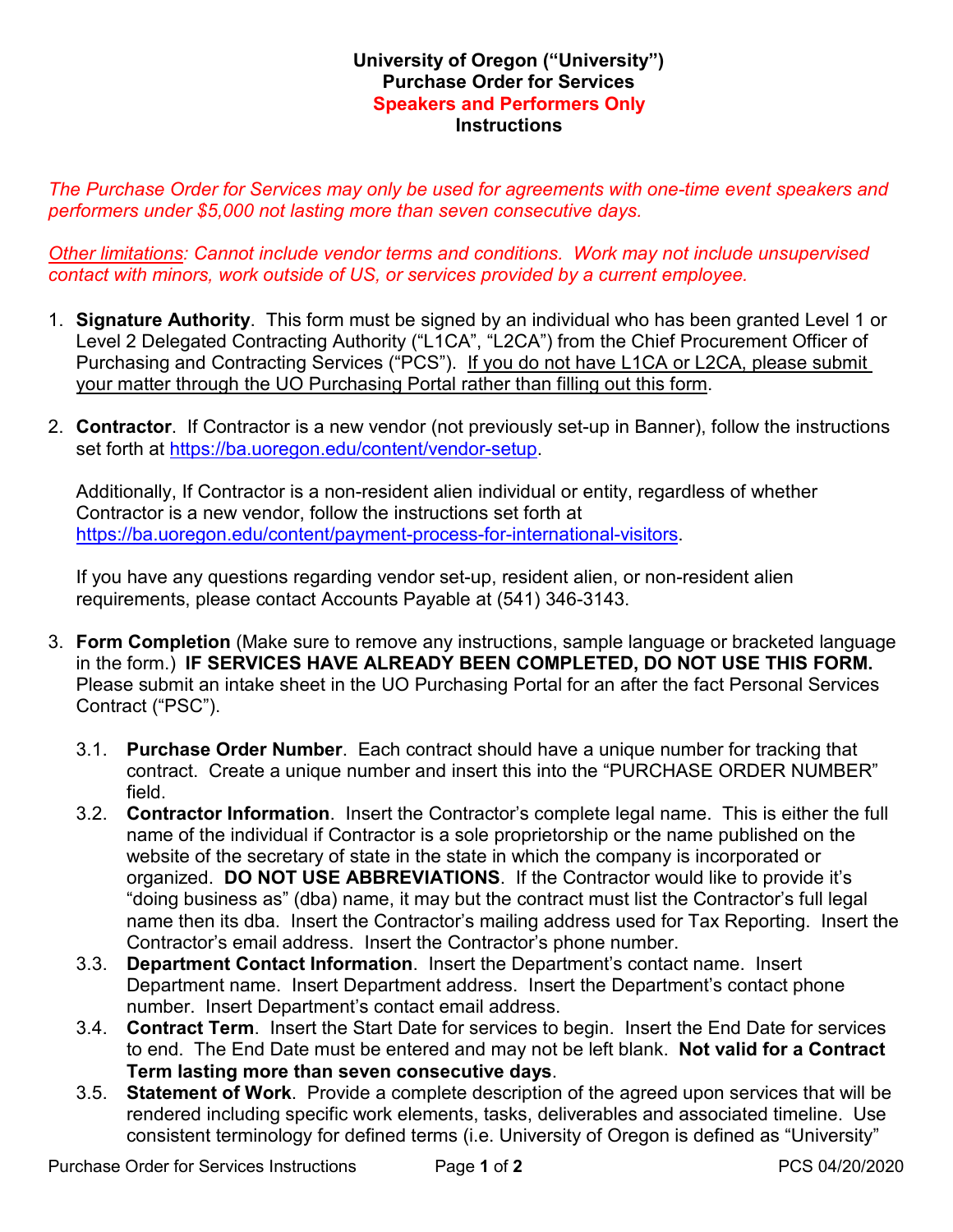## **University of Oregon ("University") Purchase Order for Services Speakers and Performers Only Instructions**

*The Purchase Order for Services may only be used for agreements with one-time event speakers and performers under \$5,000 not lasting more than seven consecutive days.*

*Other limitations: Cannot include vendor terms and conditions. Work may not include unsupervised contact with minors, work outside of US, or services provided by a current employee.*

- 1. **Signature Authority**. This form must be signed by an individual who has been granted Level 1 or Level 2 Delegated Contracting Authority ("L1CA", "L2CA") from the Chief Procurement Officer of Purchasing and Contracting Services ("PCS"). If you do not have L1CA or L2CA, please submit your matter through the UO Purchasing Portal rather than filling out this form.
- 2. **Contractor**. If Contractor is a new vendor (not previously set-up in Banner), follow the instructions set forth at [https://ba.uoregon.edu/content/vendor-setup.](https://ba.uoregon.edu/content/vendor-setup)

Additionally, If Contractor is a non-resident alien individual or entity, regardless of whether Contractor is a new vendor, follow the instructions set forth at [https://ba.uoregon.edu/content/payment-process-for-international-visitors.](https://ba.uoregon.edu/content/payment-process-for-international-visitors)

If you have any questions regarding vendor set-up, resident alien, or non-resident alien requirements, please contact Accounts Payable at (541) 346-3143.

- 3. **Form Completion** (Make sure to remove any instructions, sample language or bracketed language in the form.)**IF SERVICES HAVE ALREADY BEEN COMPLETED, DO NOT USE THIS FORM.** Please submit an intake sheet in the UO Purchasing Portal for an after the fact Personal Services Contract ("PSC").
	- 3.1. **Purchase Order Number**. Each contract should have a unique number for tracking that contract. Create a unique number and insert this into the "PURCHASE ORDER NUMBER" field.
	- 3.2. **Contractor Information**. Insert the Contractor's complete legal name. This is either the full name of the individual if Contractor is a sole proprietorship or the name published on the website of the secretary of state in the state in which the company is incorporated or organized. **DO NOT USE ABBREVIATIONS**. If the Contractor would like to provide it's "doing business as" (dba) name, it may but the contract must list the Contractor's full legal name then its dba. Insert the Contractor's mailing address used for Tax Reporting. Insert the Contractor's email address. Insert the Contractor's phone number.
	- 3.3. **Department Contact Information**. Insert the Department's contact name. Insert Department name. Insert Department address. Insert the Department's contact phone number. Insert Department's contact email address.
	- 3.4. **Contract Term**. Insert the Start Date for services to begin. Insert the End Date for services to end. The End Date must be entered and may not be left blank. **Not valid for a Contract Term lasting more than seven consecutive days**.
	- 3.5. **Statement of Work**. Provide a complete description of the agreed upon services that will be rendered including specific work elements, tasks, deliverables and associated timeline. Use consistent terminology for defined terms (i.e. University of Oregon is defined as "University"